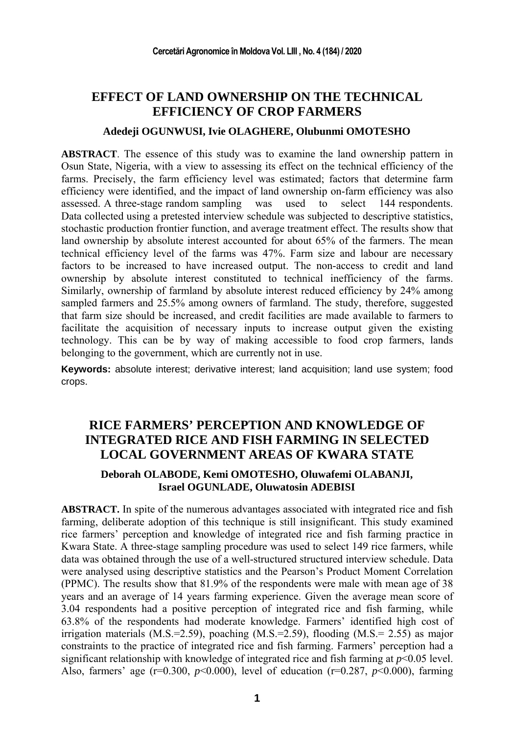## **EFFECT OF LAND OWNERSHIP ON THE TECHNICAL EFFICIENCY OF CROP FARMERS**

#### **Adedeji OGUNWUSI, Ivie OLAGHERE, Olubunmi OMOTESHO**

**ABSTRACT**. The essence of this study was to examine the land ownership pattern in Osun State, Nigeria, with a view to assessing its effect on the technical efficiency of the farms. Precisely, the farm efficiency level was estimated; factors that determine farm efficiency were identified, and the impact of land ownership on-farm efficiency was also assessed. A three-stage random sampling was used to select 144 respondents. Data collected using a pretested interview schedule was subjected to descriptive statistics, stochastic production frontier function, and average treatment effect. The results show that land ownership by absolute interest accounted for about 65% of the farmers. The mean technical efficiency level of the farms was 47%. Farm size and labour are necessary factors to be increased to have increased output. The non-access to credit and land ownership by absolute interest constituted to technical inefficiency of the farms. Similarly, ownership of farmland by absolute interest reduced efficiency by 24% among sampled farmers and 25.5% among owners of farmland. The study, therefore, suggested that farm size should be increased, and credit facilities are made available to farmers to facilitate the acquisition of necessary inputs to increase output given the existing technology. This can be by way of making accessible to food crop farmers, lands belonging to the government, which are currently not in use.

**Keywords:** absolute interest; derivative interest; land acquisition; land use system; food crops.

# **RICE FARMERS' PERCEPTION AND KNOWLEDGE OF INTEGRATED RICE AND FISH FARMING IN SELECTED LOCAL GOVERNMENT AREAS OF KWARA STATE**

### **Deborah OLABODE, Kemi OMOTESHO, Oluwafemi OLABANJI, Israel OGUNLADE, Oluwatosin ADEBISI**

**ABSTRACT.** In spite of the numerous advantages associated with integrated rice and fish farming, deliberate adoption of this technique is still insignificant. This study examined rice farmers' perception and knowledge of integrated rice and fish farming practice in Kwara State. A three-stage sampling procedure was used to select 149 rice farmers, while data was obtained through the use of a well-structured structured interview schedule. Data were analysed using descriptive statistics and the Pearson's Product Moment Correlation (PPMC). The results show that 81.9% of the respondents were male with mean age of 38 years and an average of 14 years farming experience. Given the average mean score of 3.04 respondents had a positive perception of integrated rice and fish farming, while 63.8% of the respondents had moderate knowledge. Farmers' identified high cost of irrigation materials  $(M.S.=2.59)$ , poaching  $(M.S.=2.59)$ , flooding  $(M.S.=2.55)$  as major constraints to the practice of integrated rice and fish farming. Farmers' perception had a significant relationship with knowledge of integrated rice and fish farming at *p*<0.05 level. Also, farmers' age ( $r=0.300$ ,  $p<0.000$ ), level of education ( $r=0.287$ ,  $p<0.000$ ), farming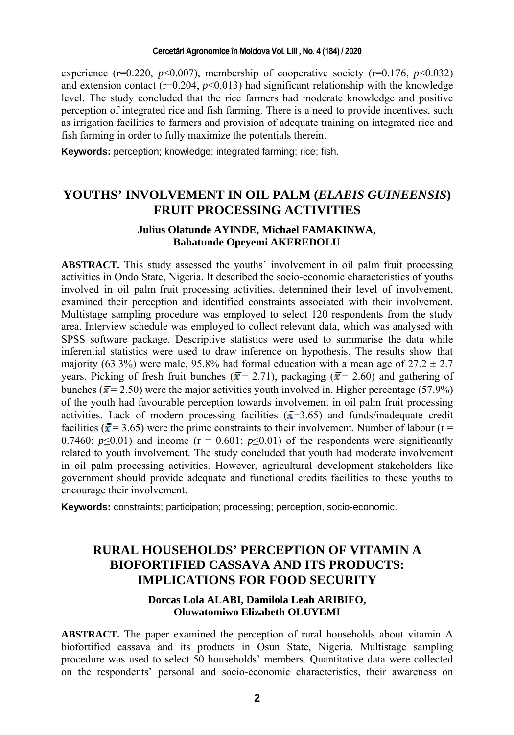#### **Cercetări Agronomice în Moldova Vol. LIII , No. 4 (184) / 2020**

experience ( $r=0.220$ ,  $p<0.007$ ), membership of cooperative society ( $r=0.176$ ,  $p<0.032$ ) and extension contact ( $r=0.204$ ,  $p<0.013$ ) had significant relationship with the knowledge level. The study concluded that the rice farmers had moderate knowledge and positive perception of integrated rice and fish farming. There is a need to provide incentives, such as irrigation facilities to farmers and provision of adequate training on integrated rice and fish farming in order to fully maximize the potentials therein.

**Keywords:** perception; knowledge; integrated farming; rice; fish.

### **YOUTHS' INVOLVEMENT IN OIL PALM (***ELAEIS GUINEENSIS***) FRUIT PROCESSING ACTIVITIES**

### **Julius Olatunde AYINDE, Michael FAMAKINWA, Babatunde Opeyemi AKEREDOLU**

**ABSTRACT.** This study assessed the youths' involvement in oil palm fruit processing activities in Ondo State, Nigeria. It described the socio-economic characteristics of youths involved in oil palm fruit processing activities, determined their level of involvement, examined their perception and identified constraints associated with their involvement. Multistage sampling procedure was employed to select 120 respondents from the study area. Interview schedule was employed to collect relevant data, which was analysed with SPSS software package. Descriptive statistics were used to summarise the data while inferential statistics were used to draw inference on hypothesis. The results show that majority (63.3%) were male, 95.8% had formal education with a mean age of  $27.2 \pm 2.7$ years. Picking of fresh fruit bunches ( $\bar{x}$  = 2.71), packaging ( $\bar{x}$  = 2.60) and gathering of bunches ( $\bar{x}$  = 2.50) were the major activities youth involved in. Higher percentage (57.9%) of the youth had favourable perception towards involvement in oil palm fruit processing activities. Lack of modern processing facilities ( $\bar{x}$ =3.65) and funds/inadequate credit facilities ( $\bar{x}$  = 3.65) were the prime constraints to their involvement. Number of labour (r = 0.7460;  $p \le 0.01$ ) and income ( $r = 0.601$ ;  $p \le 0.01$ ) of the respondents were significantly related to youth involvement. The study concluded that youth had moderate involvement in oil palm processing activities. However, agricultural development stakeholders like government should provide adequate and functional credits facilities to these youths to encourage their involvement.

**Keywords:** constraints; participation; processing; perception, socio-economic.

### **RURAL HOUSEHOLDS' PERCEPTION OF VITAMIN A BIOFORTIFIED CASSAVA AND ITS PRODUCTS: IMPLICATIONS FOR FOOD SECURITY**

### **Dorcas Lola ALABI, Damilola Leah ARIBIFO, Oluwatomiwo Elizabeth OLUYEMI**

**ABSTRACT.** The paper examined the perception of rural households about vitamin A biofortified cassava and its products in Osun State, Nigeria. Multistage sampling procedure was used to select 50 households' members. Quantitative data were collected on the respondents' personal and socio-economic characteristics, their awareness on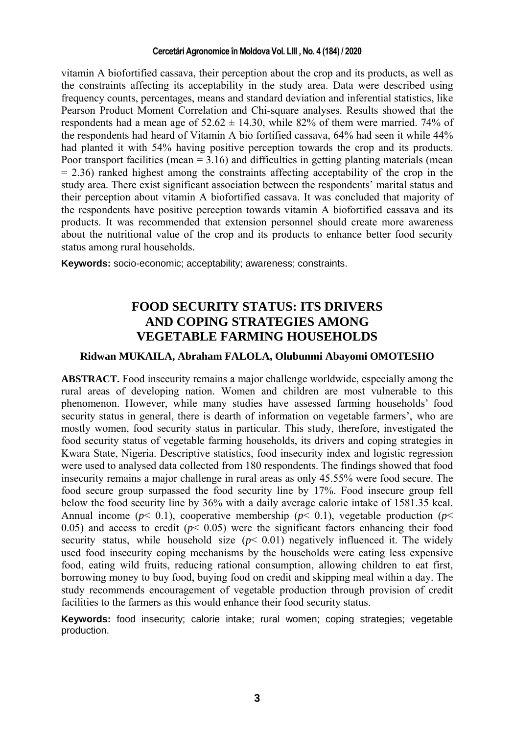#### **Cercetări Agronomice în Moldova Vol. LIII , No. 4 (184) / 2020**

vitamin A biofortified cassava, their perception about the crop and its products, as well as the constraints affecting its acceptability in the study area. Data were described using frequency counts, percentages, means and standard deviation and inferential statistics, like Pearson Product Moment Correlation and Chi-square analyses. Results showed that the respondents had a mean age of  $52.62 \pm 14.30$ , while 82% of them were married. 74% of the respondents had heard of Vitamin A bio fortified cassava, 64% had seen it while 44% had planted it with 54% having positive perception towards the crop and its products. Poor transport facilities (mean  $= 3.16$ ) and difficulties in getting planting materials (mean  $= 2.36$ ) ranked highest among the constraints affecting acceptability of the crop in the study area. There exist significant association between the respondents' marital status and their perception about vitamin A biofortified cassava. It was concluded that majority of the respondents have positive perception towards vitamin A biofortified cassava and its products. It was recommended that extension personnel should create more awareness about the nutritional value of the crop and its products to enhance better food security status among rural households.

**Keywords:** socio-economic; acceptability; awareness; constraints.

### **FOOD SECURITY STATUS: ITS DRIVERS AND COPING STRATEGIES AMONG VEGETABLE FARMING HOUSEHOLDS**

#### **Ridwan MUKAILA, Abraham FALOLA, Olubunmi Abayomi OMOTESHO**

**ABSTRACT.** Food insecurity remains a major challenge worldwide, especially among the rural areas of developing nation. Women and children are most vulnerable to this phenomenon. However, while many studies have assessed farming households' food security status in general, there is dearth of information on vegetable farmers', who are mostly women, food security status in particular. This study, therefore, investigated the food security status of vegetable farming households, its drivers and coping strategies in Kwara State, Nigeria. Descriptive statistics, food insecurity index and logistic regression were used to analysed data collected from 180 respondents. The findings showed that food insecurity remains a major challenge in rural areas as only 45.55% were food secure. The food secure group surpassed the food security line by 17%. Food insecure group fell below the food security line by 36% with a daily average calorie intake of 1581.35 kcal. Annual income ( $p$ < 0.1), cooperative membership ( $p$ < 0.1), vegetable production ( $p$  < 0.05) and access to credit  $(p< 0.05)$  were the significant factors enhancing their food security status, while household size  $(p< 0.01)$  negatively influenced it. The widely used food insecurity coping mechanisms by the households were eating less expensive food, eating wild fruits, reducing rational consumption, allowing children to eat first, borrowing money to buy food, buying food on credit and skipping meal within a day. The study recommends encouragement of vegetable production through provision of credit facilities to the farmers as this would enhance their food security status.

**Keywords:** food insecurity; calorie intake; rural women; coping strategies; vegetable production.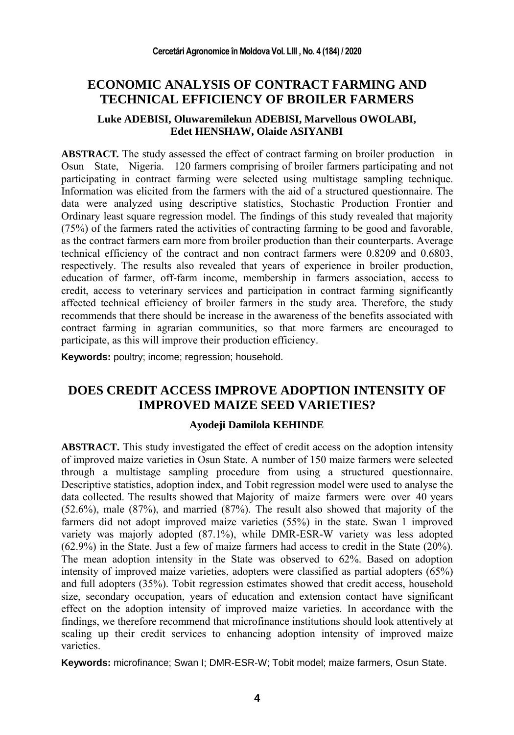## **ECONOMIC ANALYSIS OF CONTRACT FARMING AND TECHNICAL EFFICIENCY OF BROILER FARMERS**

### **Luke ADEBISI, Oluwaremilekun ADEBISI, Marvellous OWOLABI, Edet HENSHAW, Olaide ASIYANBI**

**ABSTRACT.** The study assessed the effect of contract farming on broiler production in Osun State, Nigeria. 120 farmers comprising of broiler farmers participating and not participating in contract farming were selected using multistage sampling technique. Information was elicited from the farmers with the aid of a structured questionnaire. The data were analyzed using descriptive statistics, Stochastic Production Frontier and Ordinary least square regression model. The findings of this study revealed that majority (75%) of the farmers rated the activities of contracting farming to be good and favorable, as the contract farmers earn more from broiler production than their counterparts. Average technical efficiency of the contract and non contract farmers were 0.8209 and 0.6803, respectively. The results also revealed that years of experience in broiler production, education of farmer, off-farm income, membership in farmers association, access to credit, access to veterinary services and participation in contract farming significantly affected technical efficiency of broiler farmers in the study area. Therefore, the study recommends that there should be increase in the awareness of the benefits associated with contract farming in agrarian communities, so that more farmers are encouraged to participate, as this will improve their production efficiency.

**Keywords:** poultry; income; regression; household.

### **DOES CREDIT ACCESS IMPROVE ADOPTION INTENSITY OF IMPROVED MAIZE SEED VARIETIES?**

#### **Ayodeji Damilola KEHINDE**

**ABSTRACT.** This study investigated the effect of credit access on the adoption intensity of improved maize varieties in Osun State. A number of 150 maize farmers were selected through a multistage sampling procedure from using a structured questionnaire. Descriptive statistics, adoption index, and Tobit regression model were used to analyse the data collected. The results showed that Majority of maize farmers were over 40 years (52.6%), male (87%), and married (87%). The result also showed that majority of the farmers did not adopt improved maize varieties (55%) in the state. Swan 1 improved variety was majorly adopted (87.1%), while DMR-ESR-W variety was less adopted (62.9%) in the State. Just a few of maize farmers had access to credit in the State (20%). The mean adoption intensity in the State was observed to 62%. Based on adoption intensity of improved maize varieties, adopters were classified as partial adopters (65%) and full adopters (35%). Tobit regression estimates showed that credit access, household size, secondary occupation, years of education and extension contact have significant effect on the adoption intensity of improved maize varieties. In accordance with the findings, we therefore recommend that microfinance institutions should look attentively at scaling up their credit services to enhancing adoption intensity of improved maize varieties.

**Keywords:** microfinance; Swan I; DMR-ESR-W; Tobit model; maize farmers, Osun State.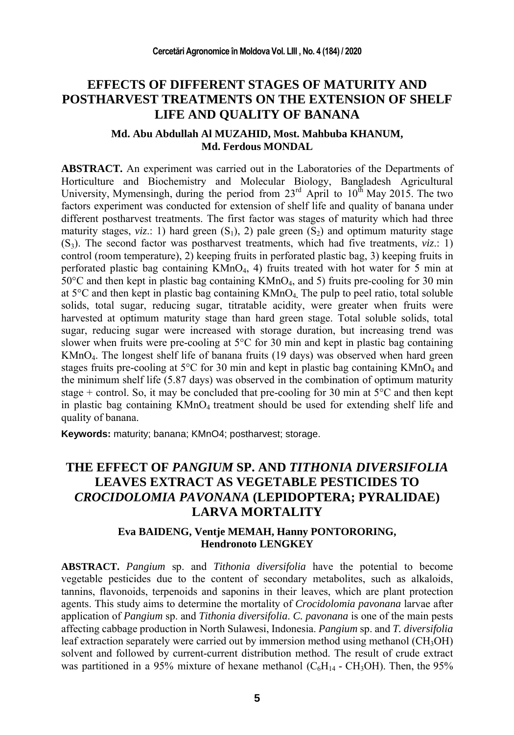### **EFFECTS OF DIFFERENT STAGES OF MATURITY AND POSTHARVEST TREATMENTS ON THE EXTENSION OF SHELF LIFE AND QUALITY OF BANANA**

#### **Md. Abu Abdullah Al MUZAHID, Most. Mahbuba KHANUM, Md. Ferdous MONDAL**

**ABSTRACT.** An experiment was carried out in the Laboratories of the Departments of Horticulture and Biochemistry and Molecular Biology, Bangladesh Agricultural University, Mymensingh, during the period from  $23^{\text{rd}}$  April to  $10^{\text{th}}$  May 2015. The two factors experiment was conducted for extension of shelf life and quality of banana under different postharvest treatments. The first factor was stages of maturity which had three maturity stages,  $viz$ .: 1) hard green  $(S_1)$ , 2) pale green  $(S_2)$  and optimum maturity stage  $(S_3)$ . The second factor was postharvest treatments, which had five treatments,  $viz$ .: 1) control (room temperature), 2) keeping fruits in perforated plastic bag, 3) keeping fruits in perforated plastic bag containing KMnO4, 4) fruits treated with hot water for 5 min at  $50^{\circ}$ C and then kept in plastic bag containing KMnO<sub>4</sub>, and 5) fruits pre-cooling for 30 min at 5°C and then kept in plastic bag containing KMnO4**.** The pulp to peel ratio, total soluble solids, total sugar, reducing sugar, titratable acidity, were greater when fruits were harvested at optimum maturity stage than hard green stage. Total soluble solids, total sugar, reducing sugar were increased with storage duration, but increasing trend was slower when fruits were pre-cooling at  $5^{\circ}$ C for 30 min and kept in plastic bag containing KMnO4. The longest shelf life of banana fruits (19 days) was observed when hard green stages fruits pre-cooling at  $5^{\circ}$ C for 30 min and kept in plastic bag containing KMnO<sub>4</sub> and the minimum shelf life (5.87 days) was observed in the combination of optimum maturity stage + control. So, it may be concluded that pre-cooling for 30 min at  $5^{\circ}$ C and then kept in plastic bag containing  $KMnO<sub>4</sub>$  treatment should be used for extending shelf life and quality of banana.

**Keywords:** maturity; banana; KMnO4; postharvest; storage.

## **THE EFFECT OF** *PANGIUM* **SP. AND** *TITHONIA DIVERSIFOLIA* **LEAVES EXTRACT AS VEGETABLE PESTICIDES TO**  *CROCIDOLOMIA PAVONANA* **(LEPIDOPTERA; PYRALIDAE) LARVA MORTALITY**

#### **Eva BAIDENG, Ventje MEMAH, Hanny PONTORORING, Hendronoto LENGKEY**

**ABSTRACT.** *Pangium* sp. and *Tithonia diversifolia* have the potential to become vegetable pesticides due to the content of secondary metabolites, such as alkaloids, tannins, flavonoids, terpenoids and saponins in their leaves, which are plant protection agents. This study aims to determine the mortality of *Crocidolomia pavonana* larvae after application of *Pangium* sp. and *Tithonia diversifolia*. *C. pavonana* is one of the main pests affecting cabbage production in North Sulawesi, Indonesia. *Pangium* sp. and *T. diversifolia* leaf extraction separately were carried out by immersion method using methanol  $(CH_3OH)$ solvent and followed by current-current distribution method. The result of crude extract was partitioned in a 95% mixture of hexane methanol ( $C_6H_{14}$  -  $CH_3OH$ ). Then, the 95%